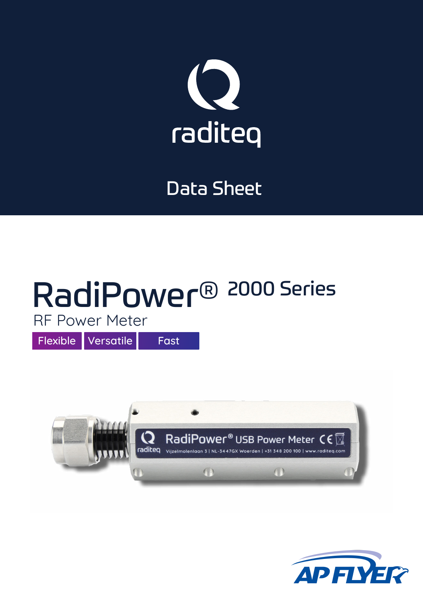

## Data Sheet

# RadiPower® 2000 Series

RF Power Meter

Flexible Versatile Fast



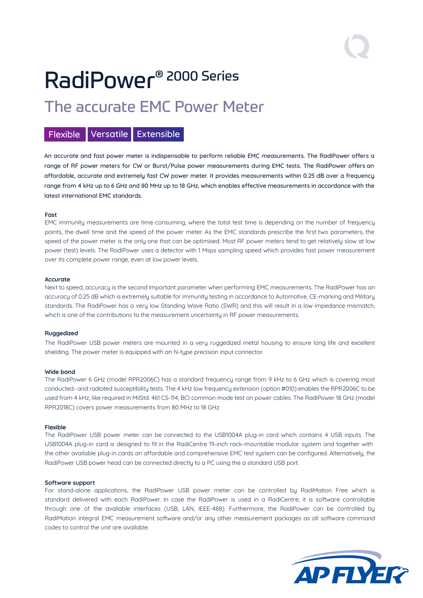## RadiPower® 2000 Series The accurate EMC Power Meter

#### Flexible Versatile Extensible

An accurate and fast power meter is indispensable to perform reliable EMC measurements. The RadiPower offers a range of RF power meters for CW or Burst/Pulse power measurements during EMC tests. The RadiPower offers an affordable, accurate and extremely fast CW power meter. It provides measurements within 0.25 dB over a frequency range from 4 kHz up to 6 GHz and 80 MHz up to 18 GHz, which enables effective measurements in accordance with the latest international EMC standards.

#### **Fast**

EMC immunity measurements are time consuming, where the total test time is depending on the number of frequency points, the dwell time and the speed of the power meter. As the EMC standards prescribe the first two parameters, the speed of the power meter is the only one that can be optimised. Most RF power meters tend to get relatively slow at low power (test) levels. The RadiPower uses a detector with 1 Msps sampling speed which provides fast power measurement over its complete power range, even at low power levels.

#### **Accurate**

Next to speed, accuracy is the second important parameter when performing EMC measurements. The RadiPower has an accuracy of 0.25 dB which is extremely suitable for immunity testing in accordance to Automotive, CE-marking and Military standards. The RadiPower has a very low Standing Wave Ratio (SWR) and this will result in a low impedance mismatch, which is one of the contributions to the measurement uncertainty in RF power measurements.

#### **Ruggedized**

The RadiPower USB power meters are mounted in a very ruggedized metal housing to ensure long life and excellent shielding. The power meter is equipped with an N-type precision input connector.

#### **Wide band**

The RadiPower 6 GHz (model RPR2006C) has a standard frequency range from 9 kHz to 6 GHz which is covering most conducted- and radiated susceptibility tests. The 4 kHz low frequency extension (option #010) enables the RPR2006C to be used from 4 kHz, like required in MilStd. 461 CS-114, BCI common mode test on power cables. The RadiPower 18 GHz (model RPR2018C) covers power measurements from 80 MHz to 18 GHz.

#### **Flexible**

The RadiPower USB power meter can be connected to the USB1004A plug-in card which contains 4 USB inputs. The USB1004A plug-in card is designed to fit in the RadiCentre 19-inch rack-mountable modular system and together with the other available plug-in cards an affordable and comprehensive EMC test system can be configured. Alternatively, the RadiPower USB power head can be connected directly to a PC using the a standard USB port.

#### **Software support**

For stand-alone applications, the RadiPower USB power meter can be controlled by RadiMation Free which is standard delivered with each RadiPower. In case the RadiPower is used in a RadiCentre, it is software controllable through one of the available interfaces (USB, LAN, IEEE-488). Furthermore, the RadiPower can be controlled by RadiMation integral EMC measurement software and/or any other measurement packages as all software command codes to control the unit are available.